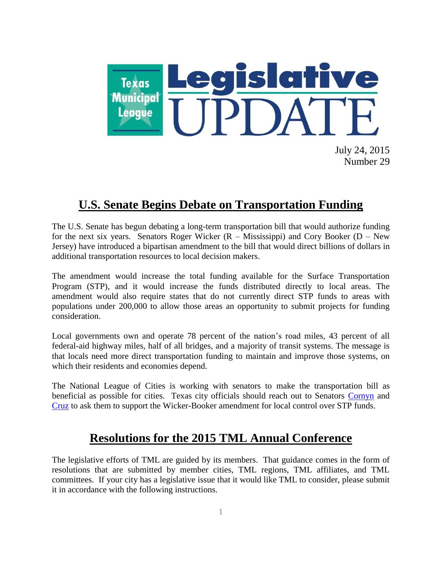

July 24, 2015 Number 29

## **U.S. Senate Begins Debate on Transportation Funding**

The U.S. Senate has begun debating a long-term transportation bill that would authorize funding for the next six years. Senators Roger Wicker  $(R - Mississippi)$  and Cory Booker  $(D - New$ Jersey) have introduced a bipartisan amendment to the bill that would direct billions of dollars in additional transportation resources to local decision makers.

The amendment would increase the total funding available for the Surface Transportation Program (STP), and it would increase the funds distributed directly to local areas. The amendment would also require states that do not currently direct STP funds to areas with populations under 200,000 to allow those areas an opportunity to submit projects for funding consideration.

Local governments own and operate 78 percent of the nation's road miles, 43 percent of all federal-aid highway miles, half of all bridges, and a majority of transit systems. The message is that locals need more direct transportation funding to maintain and improve those systems, on which their residents and economies depend.

The National League of Cities is working with senators to make the transportation bill as beneficial as possible for cities. Texas city officials should reach out to Senators [Cornyn](http://www.cornyn.senate.gov/public/index.cfm?p=OfficeLocations) and [Cruz](http://www.cruz.senate.gov/?p=general&id=23) to ask them to support the Wicker-Booker amendment for local control over STP funds.

## **Resolutions for the 2015 TML Annual Conference**

The legislative efforts of TML are guided by its members. That guidance comes in the form of resolutions that are submitted by member cities, TML regions, TML affiliates, and TML committees. If your city has a legislative issue that it would like TML to consider, please submit it in accordance with the following instructions.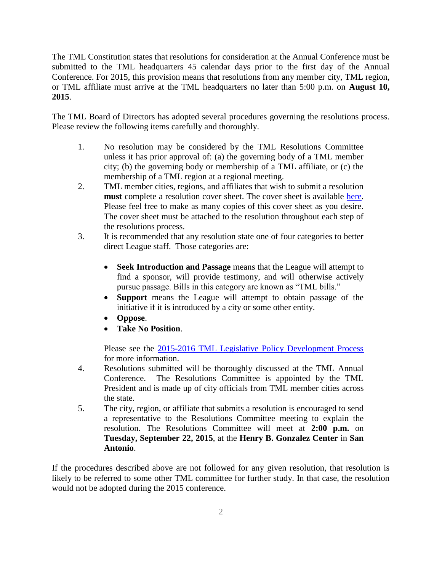The TML Constitution states that resolutions for consideration at the Annual Conference must be submitted to the TML headquarters 45 calendar days prior to the first day of the Annual Conference. For 2015, this provision means that resolutions from any member city, TML region, or TML affiliate must arrive at the TML headquarters no later than 5:00 p.m. on **August 10, 2015**.

The TML Board of Directors has adopted several procedures governing the resolutions process. Please review the following items carefully and thoroughly.

- 1. No resolution may be considered by the TML Resolutions Committee unless it has prior approval of: (a) the governing body of a TML member city; (b) the governing body or membership of a TML affiliate, or (c) the membership of a TML region at a regional meeting.
- 2. TML member cities, regions, and affiliates that wish to submit a resolution **must** complete a resolution cover sheet. The cover sheet is available [here.](http://www.tml.org/p/2015%20Resolution%20Cover%20sheet.doc) Please feel free to make as many copies of this cover sheet as you desire. The cover sheet must be attached to the resolution throughout each step of the resolutions process.
- 3. It is recommended that any resolution state one of four categories to better direct League staff. Those categories are:
	- **Seek Introduction and Passage** means that the League will attempt to find a sponsor, will provide testimony, and will otherwise actively pursue passage. Bills in this category are known as "TML bills."
	- **Support** means the League will attempt to obtain passage of the initiative if it is introduced by a city or some other entity.
	- **Oppose**.
	- **Take No Position**.

Please see the 2015-2016 [TML Legislative Policy Development Process](http://www.tml.org/p/2015_TML_Policy_Process.pdf) for more information.

- 4. Resolutions submitted will be thoroughly discussed at the TML Annual Conference. The Resolutions Committee is appointed by the TML President and is made up of city officials from TML member cities across the state.
- 5. The city, region, or affiliate that submits a resolution is encouraged to send a representative to the Resolutions Committee meeting to explain the resolution. The Resolutions Committee will meet at **2:00 p.m.** on **Tuesday, September 22, 2015**, at the **Henry B. Gonzalez Center** in **San Antonio**.

If the procedures described above are not followed for any given resolution, that resolution is likely to be referred to some other TML committee for further study. In that case, the resolution would not be adopted during the 2015 conference.